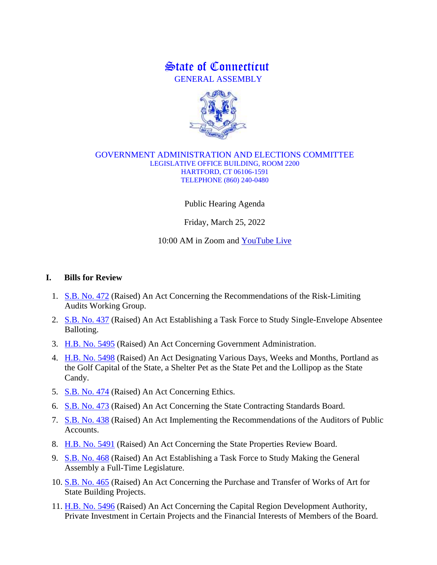## State of Connecticut GENERAL ASSEMBLY



## GOVERNMENT ADMINISTRATION AND ELECTIONS COMMITTEE LEGISLATIVE OFFICE BUILDING, ROOM 2200 HARTFORD, CT 06106-1591 TELEPHONE (860) 240-0480

Public Hearing Agenda

Friday, March 25, 2022

10:00 AM in Zoom and [YouTube Live](https://www.youtube.com/channel/UCzakPMlj0LigvokDrkgiDVw/about)

## **I. Bills for Review**

- 1. [S.B. No. 472](http://www.cga.ct.gov/asp/cgabillstatus/cgabillstatus.asp?selBillType=Bill&bill_num=SB00472&which_year=2022) (Raised) An Act Concerning the Recommendations of the Risk-Limiting Audits Working Group.
- 2. [S.B. No. 437](http://www.cga.ct.gov/asp/cgabillstatus/cgabillstatus.asp?selBillType=Bill&bill_num=SB00437&which_year=2022) (Raised) An Act Establishing a Task Force to Study Single-Envelope Absentee Balloting.
- 3. [H.B. No. 5495](http://www.cga.ct.gov/asp/cgabillstatus/cgabillstatus.asp?selBillType=Bill&bill_num=HB05495&which_year=2022) (Raised) An Act Concerning Government Administration.
- 4. H.B. [No. 5498](http://www.cga.ct.gov/asp/cgabillstatus/cgabillstatus.asp?selBillType=Bill&bill_num=HB05498&which_year=2022) (Raised) An Act Designating Various Days, Weeks and Months, Portland as the Golf Capital of the State, a Shelter Pet as the State Pet and the Lollipop as the State Candy.
- 5. [S.B. No. 474](http://www.cga.ct.gov/asp/cgabillstatus/cgabillstatus.asp?selBillType=Bill&bill_num=SB00474&which_year=2022) (Raised) An Act Concerning Ethics.
- 6. [S.B. No. 473](http://www.cga.ct.gov/asp/cgabillstatus/cgabillstatus.asp?selBillType=Bill&bill_num=SB00473&which_year=2022) (Raised) An Act Concerning the State Contracting Standards Board.
- 7. [S.B. No. 438](http://www.cga.ct.gov/asp/cgabillstatus/cgabillstatus.asp?selBillType=Bill&bill_num=SB00438&which_year=2022) (Raised) An Act Implementing the Recommendations of the Auditors of Public Accounts.
- 8. [H.B. No. 5491](http://www.cga.ct.gov/asp/cgabillstatus/cgabillstatus.asp?selBillType=Bill&bill_num=HB05491&which_year=2022) (Raised) An Act Concerning the State Properties Review Board.
- 9. [S.B. No. 468](http://www.cga.ct.gov/asp/cgabillstatus/cgabillstatus.asp?selBillType=Bill&bill_num=SB00468&which_year=2022) (Raised) An Act Establishing a Task Force to Study Making the General Assembly a Full-Time Legislature.
- 10. [S.B. No. 465](http://www.cga.ct.gov/asp/cgabillstatus/cgabillstatus.asp?selBillType=Bill&bill_num=SB00465&which_year=2022) (Raised) An Act Concerning the Purchase and Transfer of Works of Art for State Building Projects.
- 11. [H.B. No. 5496](http://www.cga.ct.gov/asp/cgabillstatus/cgabillstatus.asp?selBillType=Bill&bill_num=HB05496&which_year=2022) (Raised) An Act Concerning the Capital Region Development Authority, Private Investment in Certain Projects and the Financial Interests of Members of the Board.